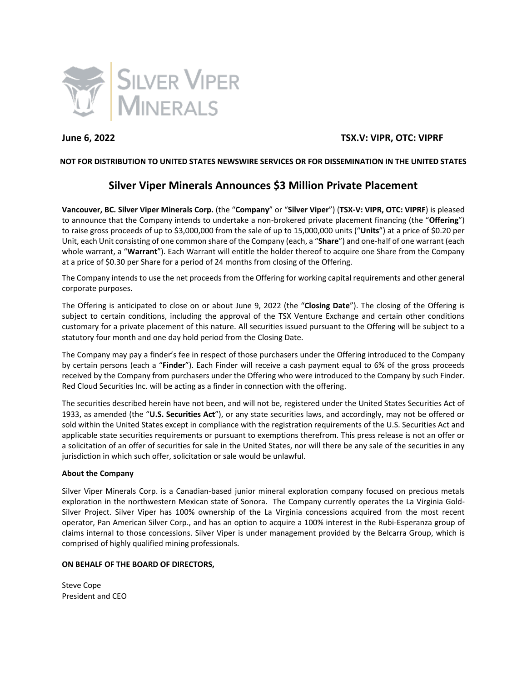

## **June 6, 2022 TSX.V: VIPR, OTC: VIPRF**

## **NOT FOR DISTRIBUTION TO UNITED STATES NEWSWIRE SERVICES OR FOR DISSEMINATION IN THE UNITED STATES**

# **Silver Viper Minerals Announces \$3 Million Private Placement**

**Vancouver, BC. Silver Viper Minerals Corp.** (the "**Company**" or "**Silver Viper**") (**TSX-V: VIPR, OTC: VIPRF**) is pleased to announce that the Company intends to undertake a non-brokered private placement financing (the "**Offering**") to raise gross proceeds of up to \$3,000,000 from the sale of up to 15,000,000 units ("**Units**") at a price of \$0.20 per Unit, each Unit consisting of one common share of the Company (each, a "**Share**") and one-half of one warrant (each whole warrant, a "**Warrant**"). Each Warrant will entitle the holder thereof to acquire one Share from the Company at a price of \$0.30 per Share for a period of 24 months from closing of the Offering.

The Company intends to use the net proceeds from the Offering for working capital requirements and other general corporate purposes.

The Offering is anticipated to close on or about June 9, 2022 (the "**Closing Date**"). The closing of the Offering is subject to certain conditions, including the approval of the TSX Venture Exchange and certain other conditions customary for a private placement of this nature. All securities issued pursuant to the Offering will be subject to a statutory four month and one day hold period from the Closing Date.

The Company may pay a finder's fee in respect of those purchasers under the Offering introduced to the Company by certain persons (each a "**Finder**"). Each Finder will receive a cash payment equal to 6% of the gross proceeds received by the Company from purchasers under the Offering who were introduced to the Company by such Finder. Red Cloud Securities Inc. will be acting as a finder in connection with the offering.

The securities described herein have not been, and will not be, registered under the United States Securities Act of 1933, as amended (the "**U.S. Securities Act**"), or any state securities laws, and accordingly, may not be offered or sold within the United States except in compliance with the registration requirements of the U.S. Securities Act and applicable state securities requirements or pursuant to exemptions therefrom. This press release is not an offer or a solicitation of an offer of securities for sale in the United States, nor will there be any sale of the securities in any jurisdiction in which such offer, solicitation or sale would be unlawful.

## **About the Company**

Silver Viper Minerals Corp. is a Canadian-based junior mineral exploration company focused on precious metals exploration in the northwestern Mexican state of Sonora. The Company currently operates the La Virginia Gold-Silver Project. Silver Viper has 100% ownership of the La Virginia concessions acquired from the most recent operator, Pan American Silver Corp., and has an option to acquire a 100% interest in the Rubi-Esperanza group of claims internal to those concessions. Silver Viper is under management provided by the Belcarra Group, which is comprised of highly qualified mining professionals.

## **ON BEHALF OF THE BOARD OF DIRECTORS,**

Steve Cope President and CEO